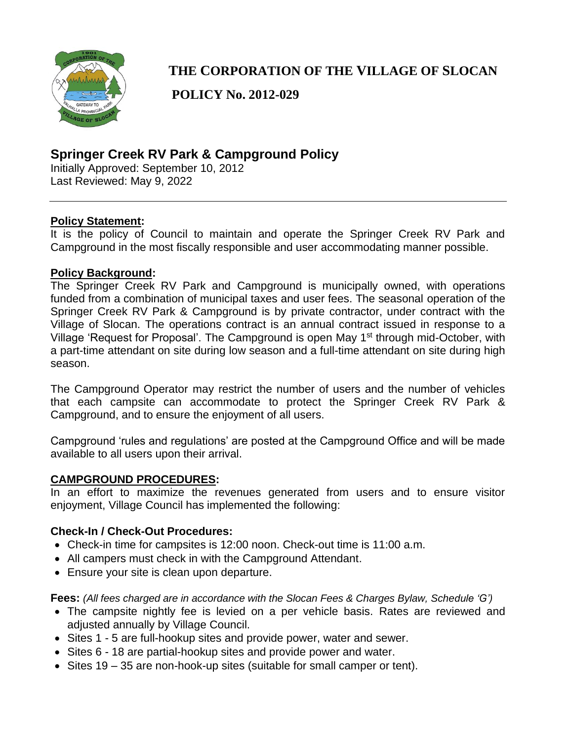

# **THE CORPORATION OF THE VILLAGE OF SLOCAN**

**POLICY No. 2012-029**

# **Springer Creek RV Park & Campground Policy**

Initially Approved: September 10, 2012 Last Reviewed: May 9, 2022

#### **Policy Statement:**

It is the policy of Council to maintain and operate the Springer Creek RV Park and Campground in the most fiscally responsible and user accommodating manner possible.

#### **Policy Background:**

The Springer Creek RV Park and Campground is municipally owned, with operations funded from a combination of municipal taxes and user fees. The seasonal operation of the Springer Creek RV Park & Campground is by private contractor, under contract with the Village of Slocan. The operations contract is an annual contract issued in response to a Village 'Request for Proposal'. The Campground is open May 1st through mid-October, with a part-time attendant on site during low season and a full-time attendant on site during high season.

The Campground Operator may restrict the number of users and the number of vehicles that each campsite can accommodate to protect the Springer Creek RV Park & Campground, and to ensure the enjoyment of all users.

Campground 'rules and regulations' are posted at the Campground Office and will be made available to all users upon their arrival.

#### **CAMPGROUND PROCEDURES:**

In an effort to maximize the revenues generated from users and to ensure visitor enjoyment, Village Council has implemented the following:

#### **Check-In / Check-Out Procedures:**

- Check-in time for campsites is 12:00 noon. Check-out time is 11:00 a.m.
- All campers must check in with the Campground Attendant.
- Ensure your site is clean upon departure.

**Fees:** *(All fees charged are in accordance with the Slocan Fees & Charges Bylaw, Schedule 'G')*

- The campsite nightly fee is levied on a per vehicle basis. Rates are reviewed and adjusted annually by Village Council.
- Sites 1 5 are full-hookup sites and provide power, water and sewer.
- Sites 6 18 are partial-hookup sites and provide power and water.
- Sites 19 35 are non-hook-up sites (suitable for small camper or tent).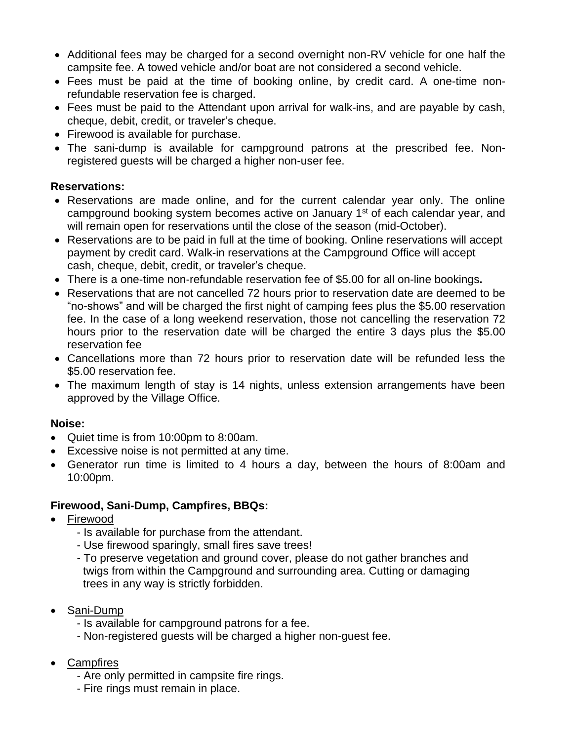- Additional fees may be charged for a second overnight non-RV vehicle for one half the campsite fee. A towed vehicle and/or boat are not considered a second vehicle.
- Fees must be paid at the time of booking online, by credit card. A one-time nonrefundable reservation fee is charged.
- Fees must be paid to the Attendant upon arrival for walk-ins, and are payable by cash, cheque, debit, credit, or traveler's cheque.
- Firewood is available for purchase.
- The sani-dump is available for campground patrons at the prescribed fee. Nonregistered guests will be charged a higher non-user fee.

#### **Reservations:**

- Reservations are made online, and for the current calendar year only. The online campground booking system becomes active on January 1<sup>st</sup> of each calendar year, and will remain open for reservations until the close of the season (mid-October).
- Reservations are to be paid in full at the time of booking. Online reservations will accept payment by credit card. Walk-in reservations at the Campground Office will accept cash, cheque, debit, credit, or traveler's cheque.
- There is a one-time non-refundable reservation fee of \$5.00 for all on-line bookings**.**
- Reservations that are not cancelled 72 hours prior to reservation date are deemed to be "no-shows" and will be charged the first night of camping fees plus the \$5.00 reservation fee. In the case of a long weekend reservation, those not cancelling the reservation 72 hours prior to the reservation date will be charged the entire 3 days plus the \$5.00 reservation fee
- Cancellations more than 72 hours prior to reservation date will be refunded less the \$5.00 reservation fee.
- The maximum length of stay is 14 nights, unless extension arrangements have been approved by the Village Office.

#### **Noise:**

- Quiet time is from 10:00pm to 8:00am.
- Excessive noise is not permitted at any time.
- Generator run time is limited to 4 hours a day, between the hours of 8:00am and 10:00pm.

#### **Firewood, Sani-Dump, Campfires, BBQs:**

- **Firewood** 
	- Is available for purchase from the attendant.
	- Use firewood sparingly, small fires save trees!
	- To preserve vegetation and ground cover, please do not gather branches and twigs from within the Campground and surrounding area. Cutting or damaging trees in any way is strictly forbidden.
- Sani-Dump
	- Is available for campground patrons for a fee.
	- Non-registered guests will be charged a higher non-guest fee.
- Campfires
	- Are only permitted in campsite fire rings.
	- Fire rings must remain in place.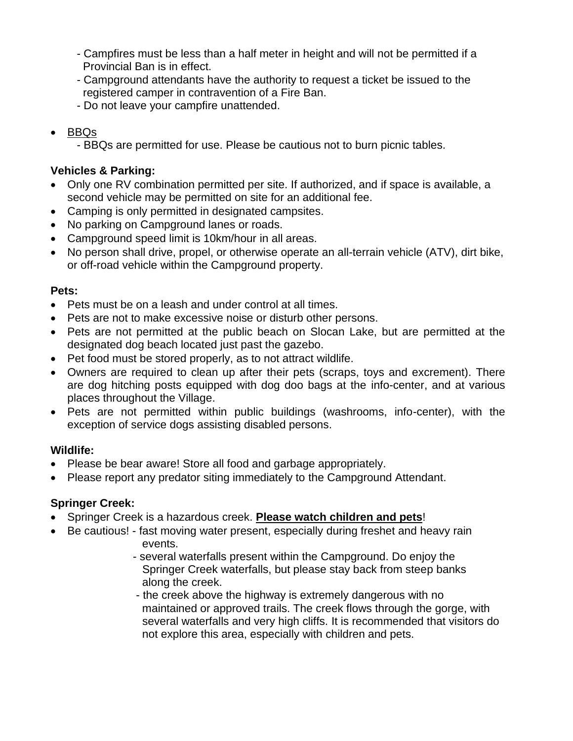- Campfires must be less than a half meter in height and will not be permitted if a Provincial Ban is in effect.
- Campground attendants have the authority to request a ticket be issued to the registered camper in contravention of a Fire Ban.
- Do not leave your campfire unattended.
- BBQs
	- BBQs are permitted for use. Please be cautious not to burn picnic tables.

### **Vehicles & Parking:**

- Only one RV combination permitted per site. If authorized, and if space is available, a second vehicle may be permitted on site for an additional fee.
- Camping is only permitted in designated campsites.
- No parking on Campground lanes or roads.
- Campground speed limit is 10km/hour in all areas.
- No person shall drive, propel, or otherwise operate an all-terrain vehicle (ATV), dirt bike, or off-road vehicle within the Campground property.

### **Pets:**

- Pets must be on a leash and under control at all times.
- Pets are not to make excessive noise or disturb other persons.
- Pets are not permitted at the public beach on Slocan Lake, but are permitted at the designated dog beach located just past the gazebo.
- Pet food must be stored properly, as to not attract wildlife.
- Owners are required to clean up after their pets (scraps, toys and excrement). There are dog hitching posts equipped with dog doo bags at the info-center, and at various places throughout the Village.
- Pets are not permitted within public buildings (washrooms, info-center), with the exception of service dogs assisting disabled persons.

#### **Wildlife:**

- Please be bear aware! Store all food and garbage appropriately.
- Please report any predator siting immediately to the Campground Attendant.

#### **Springer Creek:**

- Springer Creek is a hazardous creek. **Please watch children and pets**!
- Be cautious! fast moving water present, especially during freshet and heavy rain events.
	- several waterfalls present within the Campground. Do enjoy the Springer Creek waterfalls, but please stay back from steep banks along the creek.
	- the creek above the highway is extremely dangerous with no maintained or approved trails. The creek flows through the gorge, with several waterfalls and very high cliffs. It is recommended that visitors do not explore this area, especially with children and pets.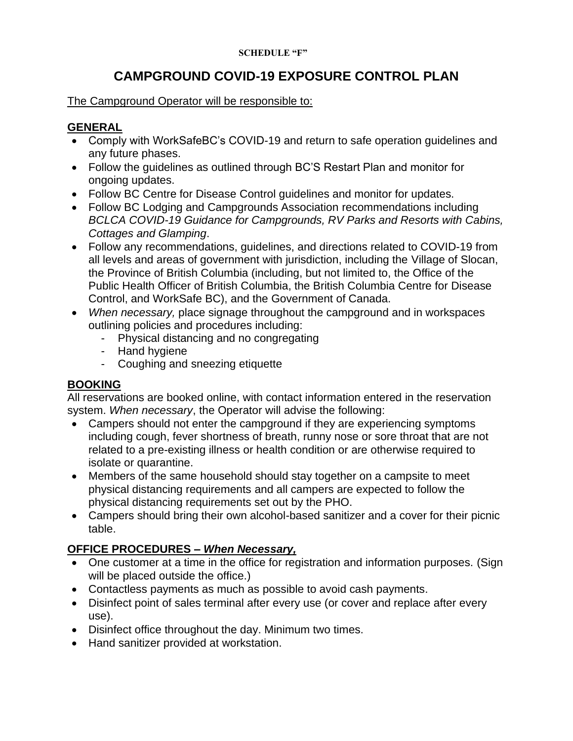#### **SCHEDULE "F"**

# **CAMPGROUND COVID-19 EXPOSURE CONTROL PLAN**

#### The Campground Operator will be responsible to:

## **GENERAL**

- Comply with WorkSafeBC's COVID-19 and return to safe operation guidelines and any future phases.
- Follow the guidelines as outlined through BC'S Restart Plan and monitor for ongoing updates.
- Follow BC Centre for Disease Control guidelines and monitor for updates.
- Follow BC Lodging and Campgrounds Association recommendations including *BCLCA COVID-19 Guidance for Campgrounds, RV Parks and Resorts with Cabins, Cottages and Glamping*.
- Follow any recommendations, guidelines, and directions related to COVID-19 from all levels and areas of government with jurisdiction, including the Village of Slocan, the Province of British Columbia (including, but not limited to, the Office of the Public Health Officer of British Columbia, the British Columbia Centre for Disease Control, and WorkSafe BC), and the Government of Canada.
- *When necessary,* place signage throughout the campground and in workspaces outlining policies and procedures including:
	- Physical distancing and no congregating
	- Hand hygiene
	- Coughing and sneezing etiquette

#### **BOOKING**

All reservations are booked online, with contact information entered in the reservation system. *When necessary*, the Operator will advise the following:

- Campers should not enter the campground if they are experiencing symptoms including cough, fever shortness of breath, runny nose or sore throat that are not related to a pre-existing illness or health condition or are otherwise required to isolate or quarantine.
- Members of the same household should stay together on a campsite to meet physical distancing requirements and all campers are expected to follow the physical distancing requirements set out by the PHO.
- Campers should bring their own alcohol-based sanitizer and a cover for their picnic table.

### **OFFICE PROCEDURES –** *When Necessary,*

- One customer at a time in the office for registration and information purposes. (Sign will be placed outside the office.)
- Contactless payments as much as possible to avoid cash payments.
- Disinfect point of sales terminal after every use (or cover and replace after every use).
- Disinfect office throughout the day. Minimum two times.
- Hand sanitizer provided at workstation.